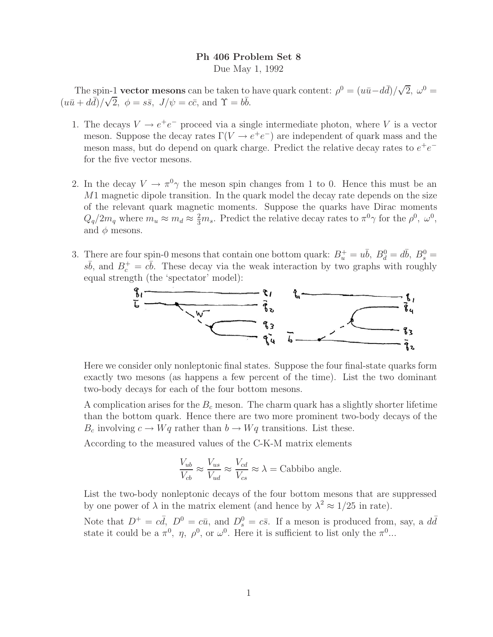## **Ph 406 Problem Set 8**

Due May 1, 1992

The spin-1 **vector mesons** can be taken to have quark content:  $\rho^0 = (u\bar{u} - d\bar{d})/\sqrt{2}$ ,  $\omega^0 =$  $(u\bar{u} + d\bar{d})/\sqrt{2}, \phi = s\bar{s}, J/\psi = c\bar{c}, \text{ and } \Upsilon = b\bar{b}.$ 

- 1. The decays  $V \rightarrow e^+e^-$  proceed via a single intermediate photon, where V is a vector meson. Suppose the decay rates  $\Gamma(V \to e^+e^-)$  are independent of quark mass and the meson mass, but do depend on quark charge. Predict the relative decay rates to  $e^+e^$ for the five vector mesons.
- 2. In the decay  $V \to \pi^0 \gamma$  the meson spin changes from 1 to 0. Hence this must be an M1 magnetic dipole transition. In the quark model the decay rate depends on the size of the relevant quark magnetic moments. Suppose the quarks have Dirac moments  $Q_q/2m_q$  where  $m_u \approx m_d \approx \frac{2}{3}m_s$ . Predict the relative decay rates to  $\pi^0 \gamma$  for the  $\rho^0$ ,  $\omega^0$ , and  $\phi$  mesons.
- 3. There are four spin-0 mesons that contain one bottom quark:  $B_u^+ = u\bar{b}$ ,  $B_d^0 = d\bar{b}$ ,  $B_s^0 =$  $s\bar{b}$ , and  $B_c^+ = c\bar{b}$ . These decay via the weak interaction by two graphs with roughly equal strength (the 'spectator' model):



Here we consider only nonleptonic final states. Suppose the four final-state quarks form exactly two mesons (as happens a few percent of the time). List the two dominant two-body decays for each of the four bottom mesons.

A complication arises for the B*<sup>c</sup>* meson. The charm quark has a slightly shorter lifetime than the bottom quark. Hence there are two more prominent two-body decays of the  $B_c$  involving  $c \to Wq$  rather than  $b \to Wq$  transitions. List these.

According to the measured values of the C-K-M matrix elements

$$
\frac{V_{ub}}{V_{cb}} \approx \frac{V_{us}}{V_{ud}} \approx \frac{V_{cd}}{V_{cs}} \approx \lambda = \text{Cabbibo angle}.
$$

List the two-body nonleptonic decays of the four bottom mesons that are suppressed by one power of  $\lambda$  in the matrix element (and hence by  $\lambda^2 \approx 1/25$  in rate).

Note that  $D^+ = c\bar{d}$ ,  $D^0 = c\bar{u}$ , and  $D_s^0 = c\bar{s}$ . If a meson is produced from, say, a  $d\bar{d}$ state it could be a  $\pi^0$ ,  $\eta$ ,  $\rho^0$ , or  $\omega^0$ . Here it is sufficient to list only the  $\pi^0$ ...